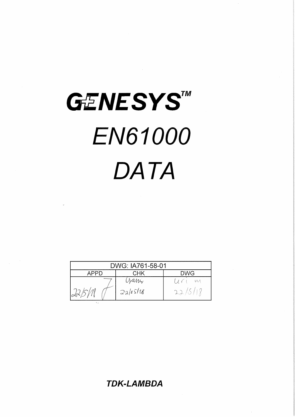# GENESYSTM **EN61000** DATA

| DWG: IA761-58-01   |          |   |  |  |
|--------------------|----------|---|--|--|
| DWG<br>CHK<br>ハレレー |          |   |  |  |
|                    | yani     | M |  |  |
|                    | 2a/65/18 |   |  |  |

**TDK-LAMBDA**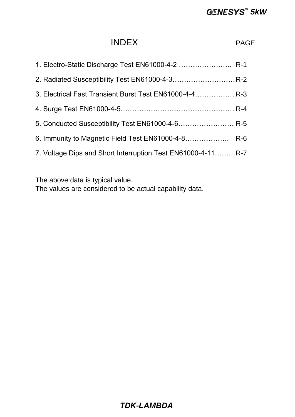# **GENESYS<sup>™</sup> 5kW**

# INDEX PAGE

| 3. Electrical Fast Transient Burst Test EN61000-4-4 R-3      |  |
|--------------------------------------------------------------|--|
|                                                              |  |
| 5. Conducted Susceptibility Test EN61000-4-6 R-5             |  |
|                                                              |  |
| 7. Voltage Dips and Short Interruption Test EN61000-4-11 R-7 |  |

The above data is typical value.

The values are considered to be actual capability data.

# *TDK-LAMBDA*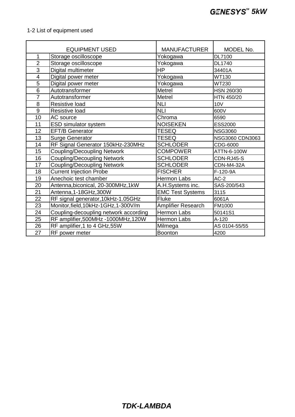# 1-2 List of equipment used

|                         | <b>EQUIPMENT USED</b>                 | <b>MANUFACTURER</b>     | MODEL No.         |
|-------------------------|---------------------------------------|-------------------------|-------------------|
| 1                       | Storage oscilloscope                  | Yokogawa                | <b>DL7100</b>     |
| $\overline{2}$          | Storage oscilloscope                  | Yokogawa                | <b>DL1740</b>     |
| 3                       | Digital multimeter                    | <b>HP</b>               | 34401A            |
| $\overline{\mathbf{4}}$ | Digital power meter                   | Yokogawa                | <b>WT130</b>      |
| 5                       | Digital power meter                   | Yokogawa                | <b>WT230</b>      |
| 6                       | Autotransformer                       | Metrel                  | HSN 260/30        |
| $\overline{7}$          | Autotransformer                       | Metrel                  | HTN 450/20        |
| 8                       | <b>Resistive load</b>                 | <b>NLI</b>              | <b>10V</b>        |
| 9                       | Resistive load                        | <b>NLI</b>              | 600V              |
| 10                      | AC source                             | Chroma                  | 6590              |
| 11                      | <b>ESD simulator system</b>           | <b>NOISEKEN</b>         | <b>ESS2000</b>    |
| 12                      | <b>EFT/B Generator</b>                | <b>TESEQ</b>            | <b>NSG3060</b>    |
| 13                      | <b>Surge Generator</b>                | <b>TESEQ</b>            | NSG3060 CDN3063   |
| 14                      | RF Signal Generator 150kHz-230MHz     | <b>SCHLODER</b>         | CDG-6000          |
| 15                      | <b>Coupling/Decoupling Network</b>    | <b>COMPOWER</b>         | ATTN-6-100W       |
| 16                      | Coupling/Decoupling Network           | <b>SCHLODER</b>         | CDN-RJ45-S        |
| 17                      | <b>Coupling/Decoupling Network</b>    | <b>SCHLODER</b>         | <b>CDN-M4-32A</b> |
| 18                      | <b>Current Injection Probe</b>        | <b>FISCHER</b>          | F-120-9A          |
| 19                      | Anechoic test chamber                 | Hermon Labs             | $AC-2$            |
| 20                      | Antenna, biconical, 20-300MHz, 1kW    | A.H.Systems inc.        | SAS-200/543       |
| 21                      | Antenna, 1-18GHz, 300W                | <b>EMC Test Systems</b> | 3115              |
| 22                      | RF signal generator, 10kHz-1.05GHz    | Fluke                   | 6061A             |
| 23                      | Monitor, field, 10kHz-1GHz, 1-300V/m  | Amplifier Research      | FM1000            |
| 24                      | Coupling-decoupling network according | <b>Hermon Labs</b>      | 50141S1           |
| 25                      | RF amplifier, 500MHz - 1000MHz, 120W  | Hermon Labs             | A-120             |
| 26                      | RF amplifier, 1 to 4 GHz, 55W         | Milmega                 | AS 0104-55/55     |
| 27                      | RF power meter                        | <b>Boonton</b>          | 4200              |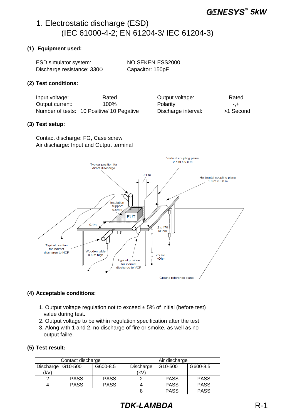# 1. Electrostatic discharge (ESD) (IEC 61000-4-2; EN 61204-3/ IEC 61204-3)

## **(1) Equipment used:**

| <b>ESD simulator system:</b>      | NOISEKEN ESS2000 |
|-----------------------------------|------------------|
| Discharge resistance: $330\Omega$ | Capacitor: 150pF |

#### **(2) Test conditions:**

Input voltage: Rated Output current: 100% Number of tests: 10 Positive/ 10 Pegative Discharge interval: >1 Second

| Output voltage:     | Rated    |
|---------------------|----------|
| Polarity:           | -.+      |
| Discharge interval: | >1 Secon |

#### **(3) Test setup:**

Contact discharge: FG, Case screw Air discharge: Input and Output terminal



#### **(4) Acceptable conditions:**

- 1. Output voltage regulation not to exceed  $\pm$  5% of initial (before test) value during test.
- 2. Output voltage to be within regulation specification after the test.
- 3. Along with 1 and 2, no discharge of fire or smoke, as well as no output failre.

#### **(5) Test result:**

| Contact discharge   |             | Air discharge |                                  |             |             |
|---------------------|-------------|---------------|----------------------------------|-------------|-------------|
| Discharge   G10-500 |             | G600-8.5      | G600-8.5<br>G10-500<br>Discharge |             |             |
| (kV)                |             |               | (kV)                             |             |             |
|                     | <b>PASS</b> | <b>PASS</b>   |                                  | <b>PASS</b> | <b>PASS</b> |
|                     | <b>PASS</b> | <b>PASS</b>   |                                  | <b>PASS</b> | <b>PASS</b> |
|                     |             |               |                                  | <b>PASS</b> | <b>PASS</b> |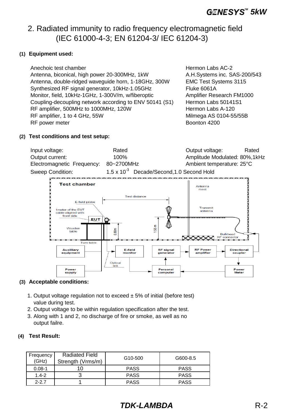# 2. Radiated immunity to radio frequency electromagnetic field (IEC 61000-4-3; EN 61204-3/ IEC 61204-3)

# **(1) Equipment used:**

Anechoic test chamber **Access 19** and the Hermon Labs AC-2 Antenna, biconical, high power 20-300MHz, 1kW A.H.Systems inc. SAS-200/543 Antenna, double-ridged waveguide horn, 1-18GHz, 300W EMC Test Systems 3115 Synthesized RF signal generator, 10kHz-1.05GHz Fluke 6061A Monitor, field, 10kHz-1GHz, 1-300V/m, w/fiberoptic Amplifier Research FM1000 Coupling-decoupling network according to ENV 50141 (S1) Hermon Labs 50141S1 RF amplifier, 500MHz to 1000MHz, 120W **Hermon Labs A-120** RF amplifier, 1 to 4 GHz, 55W Milmega AS 0104-55/55B RF power meter and the state of the Boonton 4200 state and the Boonton 4200 state of the Boonton 4200 state and the Boonton 4200 state and the Boonton 4200 state and the Boonton 4200 state and the Boonton 4200 state and th

## **(2) Test conditions and test setup:**

| Input voltage:             | Rated                                               | Output voltage:                | Rated |
|----------------------------|-----------------------------------------------------|--------------------------------|-------|
| Output current:            | $100\%$                                             | Amplitude Modulated: 80%, 1kHz |       |
| Electromagnetic Frequency: | 80~2700MHz                                          | Ambient temperature: 25°C      |       |
| Sweep Condition:           | $1.5 \times 10^{-3}$ Decade/Second, 1.0 Second Hold |                                |       |



# **(3) Acceptable conditions:**

- 1. Output voltage regulation not to exceed  $\pm$  5% of initial (before test) value during test.
- 2. Output voltage to be within regulation specification after the test.
- 3. Along with 1 and 2, no discharge of fire or smoke, as well as no output failre.

# **(4) Test Result:**

| Frequency<br>(GHz) | <b>Radiated Field</b><br>Strength (Vrms/m) | G <sub>10</sub> -500 | G600-8.5    |
|--------------------|--------------------------------------------|----------------------|-------------|
| $0.08 - 1$         |                                            | <b>PASS</b>          | <b>PASS</b> |
| $1.4 - 2$          |                                            | <b>PASS</b>          | <b>PASS</b> |
| $2 - 27$           |                                            | <b>PASS</b>          | <b>PASS</b> |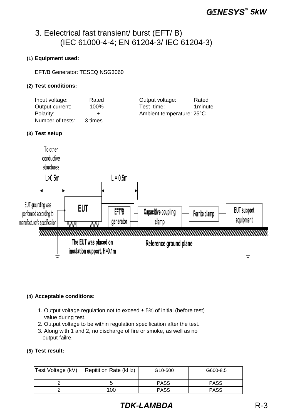# 3. Eelectrical fast transient/ burst (EFT/ B) (IEC 61000-4-4; EN 61204-3/ IEC 61204-3)

# **(1) Equipment used:**

EFT/B Generator: TESEQ NSG3060

# **(2) Test conditions:**

| Input voltage:   | Rated   | Output voltage:<br>Rated  |
|------------------|---------|---------------------------|
| Output current:  | 100%    | 1 minute<br>Test time:    |
| Polarity:        | $- +$   | Ambient temperature: 25°C |
| Number of tests: | 3 times |                           |

## **(3) Test setup**



# **(4) Acceptable conditions:**

- 1. Output voltage regulation not to exceed  $\pm$  5% of initial (before test) value during test.
- 2. Output voltage to be within regulation specification after the test.
- 3. Along with 1 and 2, no discharge of fire or smoke, as well as no output failre.

## **(5) Test result:**

| Test Voltage (kV) | Repitition Rate (kHz) | G <sub>10</sub> -500 | G600-8.5    |
|-------------------|-----------------------|----------------------|-------------|
|                   |                       | <b>PASS</b>          | <b>PASS</b> |
|                   | 100                   | <b>PASS</b>          | <b>PASS</b> |

# *TDK-LAMBDA* R-3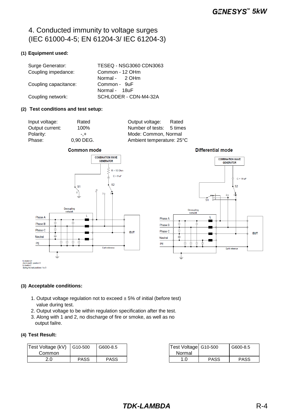# 4. Conducted immunity to voltage surges (IEC 61000-4-5; EN 61204-3/ IEC 61204-3)

#### **(1) Equipment used:**

| Surge Generator:      | TESEQ - NSG3060 CDN3063 |
|-----------------------|-------------------------|
| Coupling impedance:   | Common - 12 OHm         |
|                       | Normal - 2 OHm          |
| Coupling capacitance: | Common - 9uF            |
|                       | Normal - 18uF           |
| Coupling network:     | SCHLODER - CDN-M4-32A   |

#### **(2) Test conditions and test setup:**

| Input voltage:  |   |
|-----------------|---|
| Output current: |   |
| Polarity:       |   |
| Phase:          | 0 |

Rated **Output voltage:** Rated 100% Number of tests: 5 times -,+ Mode: Common, Normal Phase: 0,90 DEG. Ambient temperature: 25°C







₹

**Earth reference** 

**Differential mode** 

# **(3) Acceptable conditions:**

- 1. Output voltage regulation not to exceed  $\pm$  5% of initial (before test) value during test.
- 2. Output voltage to be within regulation specification after the test.
- 3. Along with 1 and 2, no discharge of fire or smoke, as well as no output failre.

#### **(4) Test Result:**

| Test Voltage (kV) | G10-500 | G600-8.5 | Test Voltage G10-500 |             | G600-8.5    |
|-------------------|---------|----------|----------------------|-------------|-------------|
| Common            |         |          | Normal               |             |             |
| ח ר<br>2.U        | PASS    | PASS     | 0. ا                 | <b>PASS</b> | <b>PASS</b> |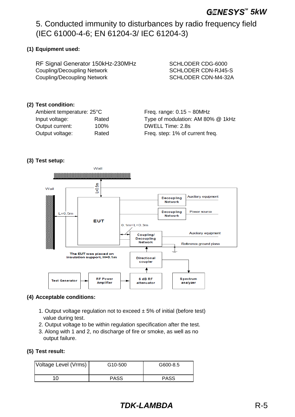# 5. Conducted immunity to disturbances by radio frequency field (IEC 61000-4-6; EN 61204-3/ IEC 61204-3)

# **(1) Equipment used:**

RF Signal Generator 150kHz-230MHz SCHLODER CDG-6000 Coupling/Decoupling Network SCHLODER CDN-RJ45-S Coupling/Decoupling Network SCHLODER CDN-M4-32A

# **(2) Test condition:**

Ambient temperature:  $25^{\circ}$ C Freq. range:  $0.15 \sim 80$ MHz Output current: 100% DWELL Time: 2.8s Output voltage: Rated Freq. step: 1% of current freq.

Input voltage: Rated Type of modulation: AM 80% @ 1kHz

# **(3) Test setup:**



# **(4) Acceptable conditions:**

- 1. Output voltage regulation not to exceed  $\pm$  5% of initial (before test) value during test.
- 2. Output voltage to be within regulation specification after the test.
- 3. Along with 1 and 2, no discharge of fire or smoke, as well as no output failure.

#### **(5) Test result:**

| Voltage Level (Vrms) | G10-500     | G600-8.5    |
|----------------------|-------------|-------------|
|                      | <b>PASS</b> | <b>PASS</b> |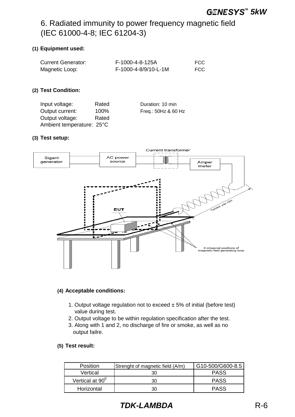# 6. Radiated immunity to power frequency magnetic field (IEC 61000-4-8; IEC 61204-3)

# **(1) Equipment used:**

| <b>Current Generator:</b> | F-1000-4-8-125A      | FCC |
|---------------------------|----------------------|-----|
| Magnetic Loop:            | F-1000-4-8/9/10-L-1M | FCC |

## **(2) Test Condition:**

| Input voltage:            | Rated | Duration: 10 min    |
|---------------------------|-------|---------------------|
| Output current:           | 100%  | Freq.: 50Hz & 60 Hz |
| Output voltage:           | Rated |                     |
| Ambient temperature: 25°C |       |                     |

#### **(3) Test setup:**



#### **(4) Acceptable conditions:**

- 1. Output voltage regulation not to exceed  $\pm$  5% of initial (before test) value during test.
- 2. Output voltage to be within regulation specification after the test.
- 3. Along with 1 and 2, no discharge of fire or smoke, as well as no output failre.

# **(5) Test result:**

| <b>Position</b>             | Strenght of magnetic field (A/m) | G10-500/G600-8.5 |
|-----------------------------|----------------------------------|------------------|
| Vertical                    |                                  | PASS             |
| Vertical at 90 <sup>0</sup> | 30                               | <b>PASS</b>      |
| Horizontal                  | חר                               | <b>PASS</b>      |